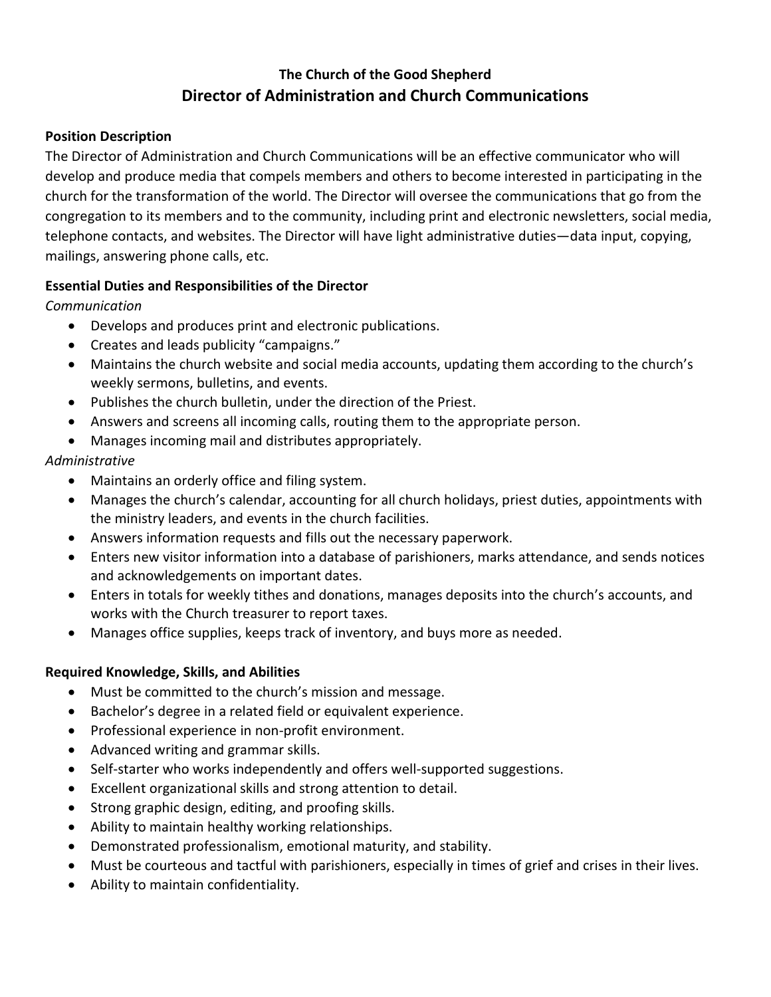# **The Church of the Good Shepherd Director of Administration and Church Communications**

### **Position Description**

The Director of Administration and Church Communications will be an effective communicator who will develop and produce media that compels members and others to become interested in participating in the church for the transformation of the world. The Director will oversee the communications that go from the congregation to its members and to the community, including print and electronic newsletters, social media, telephone contacts, and websites. The Director will have light administrative duties—data input, copying, mailings, answering phone calls, etc.

# **Essential Duties and Responsibilities of the Director**

*Communication*

- Develops and produces print and electronic publications.
- Creates and leads publicity "campaigns."
- Maintains the church website and social media accounts, updating them according to the church's weekly sermons, bulletins, and events.
- Publishes the church bulletin, under the direction of the Priest.
- Answers and screens all incoming calls, routing them to the appropriate person.
- Manages incoming mail and distributes appropriately.

# *Administrative*

- Maintains an orderly office and filing system.
- Manages the church's calendar, accounting for all church holidays, priest duties, appointments with the ministry leaders, and events in the church facilities.
- Answers information requests and fills out the necessary paperwork.
- Enters new visitor information into a database of parishioners, marks attendance, and sends notices and acknowledgements on important dates.
- Enters in totals for weekly tithes and donations, manages deposits into the church's accounts, and works with the Church treasurer to report taxes.
- Manages office supplies, keeps track of inventory, and buys more as needed.

# **Required Knowledge, Skills, and Abilities**

- Must be committed to the church's mission and message.
- Bachelor's degree in a related field or equivalent experience.
- Professional experience in non-profit environment.
- Advanced writing and grammar skills.
- Self-starter who works independently and offers well-supported suggestions.
- Excellent organizational skills and strong attention to detail.
- Strong graphic design, editing, and proofing skills.
- Ability to maintain healthy working relationships.
- Demonstrated professionalism, emotional maturity, and stability.
- Must be courteous and tactful with parishioners, especially in times of grief and crises in their lives.
- Ability to maintain confidentiality.